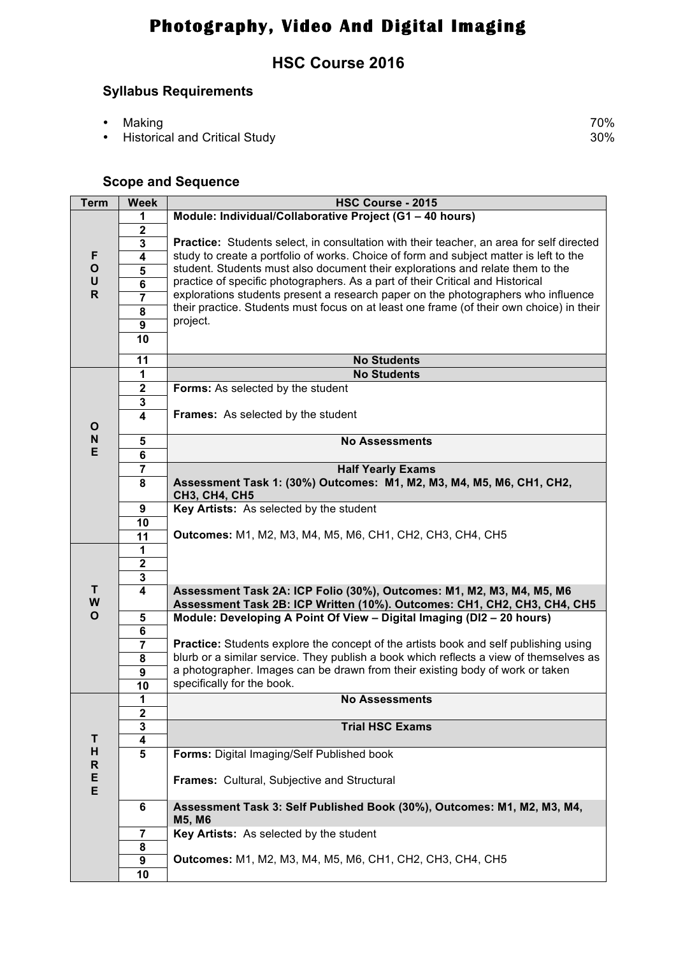# **Photography, Video And Digital Imaging**

### **HSC Course 2016**

#### **Syllabus Requirements**

- 
- Making 70%<br>• Historical and Critical Study 70% • Historical and Critical Study

#### **Scope and Sequence**

| <b>Term</b>       | <b>Week</b>                                                                                  | HSC Course - 2015                                                                                           |  |  |  |  |  |
|-------------------|----------------------------------------------------------------------------------------------|-------------------------------------------------------------------------------------------------------------|--|--|--|--|--|
|                   | 1                                                                                            | Module: Individual/Collaborative Project (G1 - 40 hours)                                                    |  |  |  |  |  |
|                   | $\boldsymbol{2}$                                                                             |                                                                                                             |  |  |  |  |  |
|                   | $\overline{\mathbf{3}}$                                                                      | Practice: Students select, in consultation with their teacher, an area for self directed                    |  |  |  |  |  |
| F                 | $\overline{4}$                                                                               | study to create a portfolio of works. Choice of form and subject matter is left to the                      |  |  |  |  |  |
| $\mathbf{o}$      | $\overline{\mathbf{5}}$                                                                      | student. Students must also document their explorations and relate them to the                              |  |  |  |  |  |
| $\sf U$           | $\overline{6}$                                                                               | practice of specific photographers. As a part of their Critical and Historical                              |  |  |  |  |  |
| $\mathsf{R}$      | $\overline{\mathbf{7}}$                                                                      | explorations students present a research paper on the photographers who influence                           |  |  |  |  |  |
|                   | $\overline{\mathbf{8}}$                                                                      | their practice. Students must focus on at least one frame (of their own choice) in their                    |  |  |  |  |  |
|                   | $\overline{9}$                                                                               | project.                                                                                                    |  |  |  |  |  |
|                   | 10                                                                                           |                                                                                                             |  |  |  |  |  |
|                   |                                                                                              |                                                                                                             |  |  |  |  |  |
|                   | 11                                                                                           | <b>No Students</b>                                                                                          |  |  |  |  |  |
|                   | 1                                                                                            | <b>No Students</b>                                                                                          |  |  |  |  |  |
|                   | $\boldsymbol{2}$                                                                             | Forms: As selected by the student                                                                           |  |  |  |  |  |
|                   | $\mathbf 3$                                                                                  |                                                                                                             |  |  |  |  |  |
|                   | $\overline{\mathbf{4}}$                                                                      | <b>Frames:</b> As selected by the student                                                                   |  |  |  |  |  |
| $\mathbf{o}$      |                                                                                              |                                                                                                             |  |  |  |  |  |
| N<br>E            | 5                                                                                            | <b>No Assessments</b>                                                                                       |  |  |  |  |  |
|                   | $\overline{\mathbf{6}}$                                                                      |                                                                                                             |  |  |  |  |  |
|                   | 7                                                                                            | <b>Half Yearly Exams</b>                                                                                    |  |  |  |  |  |
|                   | 8                                                                                            | Assessment Task 1: (30%) Outcomes: M1, M2, M3, M4, M5, M6, CH1, CH2,                                        |  |  |  |  |  |
|                   |                                                                                              | <b>CH3, CH4, CH5</b>                                                                                        |  |  |  |  |  |
|                   | 9                                                                                            | Key Artists: As selected by the student                                                                     |  |  |  |  |  |
|                   | 10                                                                                           |                                                                                                             |  |  |  |  |  |
|                   | $\overline{11}$                                                                              | Outcomes: M1, M2, M3, M4, M5, M6, CH1, CH2, CH3, CH4, CH5                                                   |  |  |  |  |  |
|                   | 1                                                                                            |                                                                                                             |  |  |  |  |  |
|                   | $\overline{\mathbf{2}}$                                                                      |                                                                                                             |  |  |  |  |  |
|                   | $\overline{\mathbf{3}}$                                                                      |                                                                                                             |  |  |  |  |  |
|                   | $\overline{4}$<br>т<br>Assessment Task 2A: ICP Folio (30%), Outcomes: M1, M2, M3, M4, M5, M6 |                                                                                                             |  |  |  |  |  |
| W<br>$\mathbf{o}$ |                                                                                              | Assessment Task 2B: ICP Written (10%). Outcomes: CH1, CH2, CH3, CH4, CH5                                    |  |  |  |  |  |
|                   | 5                                                                                            | Module: Developing A Point Of View - Digital Imaging (DI2 - 20 hours)                                       |  |  |  |  |  |
|                   | 6                                                                                            |                                                                                                             |  |  |  |  |  |
|                   | $\overline{7}$                                                                               | <b>Practice:</b> Students explore the concept of the artists book and self publishing using                 |  |  |  |  |  |
|                   | 8                                                                                            | blurb or a similar service. They publish a book which reflects a view of themselves as                      |  |  |  |  |  |
|                   | $\boldsymbol{9}$                                                                             | a photographer. Images can be drawn from their existing body of work or taken<br>specifically for the book. |  |  |  |  |  |
|                   | 10                                                                                           |                                                                                                             |  |  |  |  |  |
|                   | 1                                                                                            | <b>No Assessments</b>                                                                                       |  |  |  |  |  |
|                   | $\mathbf 2$                                                                                  |                                                                                                             |  |  |  |  |  |
| T                 | ${\bf 3}$                                                                                    | <b>Trial HSC Exams</b>                                                                                      |  |  |  |  |  |
| H                 | 4                                                                                            |                                                                                                             |  |  |  |  |  |
| R                 | 5                                                                                            | Forms: Digital Imaging/Self Published book                                                                  |  |  |  |  |  |
| E                 |                                                                                              |                                                                                                             |  |  |  |  |  |
| E                 |                                                                                              | Frames: Cultural, Subjective and Structural                                                                 |  |  |  |  |  |
|                   | 6                                                                                            | Assessment Task 3: Self Published Book (30%), Outcomes: M1, M2, M3, M4,                                     |  |  |  |  |  |
|                   |                                                                                              | M5, M6                                                                                                      |  |  |  |  |  |
|                   | $\overline{7}$                                                                               | Key Artists: As selected by the student                                                                     |  |  |  |  |  |
|                   | 8                                                                                            |                                                                                                             |  |  |  |  |  |
|                   | 9                                                                                            | <b>Outcomes: M1, M2, M3, M4, M5, M6, CH1, CH2, CH3, CH4, CH5</b>                                            |  |  |  |  |  |
|                   | 10                                                                                           |                                                                                                             |  |  |  |  |  |
|                   |                                                                                              |                                                                                                             |  |  |  |  |  |